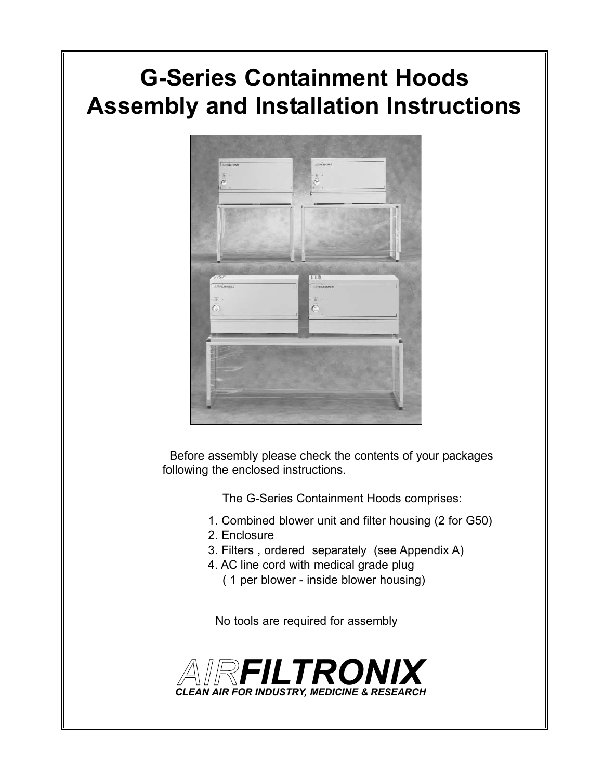# **G-Series Containment Hoods Assembly and Installation Instructions**



Before assembly please check the contents of your packages following the enclosed instructions.

The G-Series Containment Hoods comprises:

- 1. Combined blower unit and filter housing (2 for G50)
- 2. Enclosure
- 3. Filters , ordered separately (see Appendix A)
- 4. AC line cord with medical grade plug
	- ( 1 per blower inside blower housing)

No tools are required for assembly

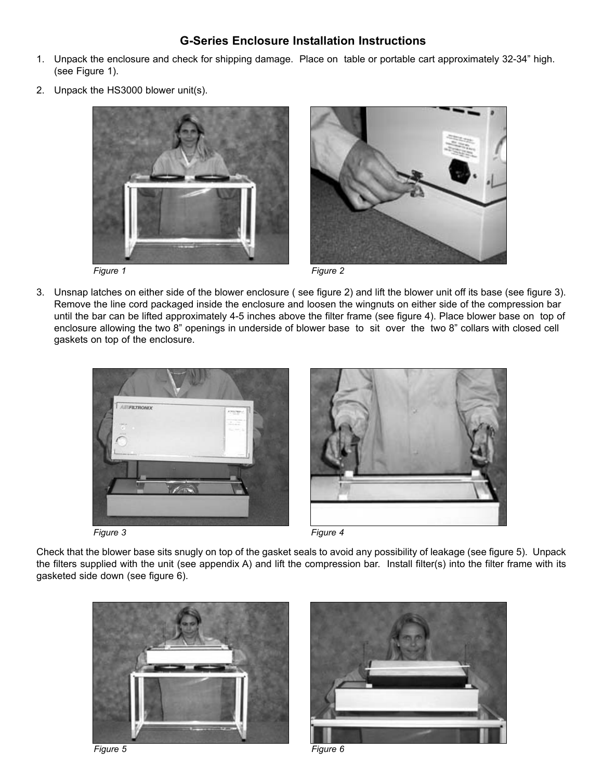# **G-Series Enclosure Installation Instructions**

- 1. Unpack the enclosure and check for shipping damage. Place on table or portable cart approximately 32-34" high. (see Figure 1).
- 2. Unpack the HS3000 blower unit(s).



3. Unsnap latches on either side of the blower enclosure ( see figure 2) and lift the blower unit off its base (see figure 3). Remove the line cord packaged inside the enclosure and loosen the wingnuts on either side of the compression bar until the bar can be lifted approximately 4-5 inches above the filter frame (see figure 4). Place blower base on top of enclosure allowing the two 8" openings in underside of blower base to sit over the two 8" collars with closed cell gaskets on top of the enclosure.



*Figure 3*

*Figure 4*

Check that the blower base sits snugly on top of the gasket seals to avoid any possibility of leakage (see figure 5). Unpack the filters supplied with the unit (see appendix A) and lift the compression bar. Install filter(s) into the filter frame with its gasketed side down (see figure 6).





*Figure 5 Figure 6*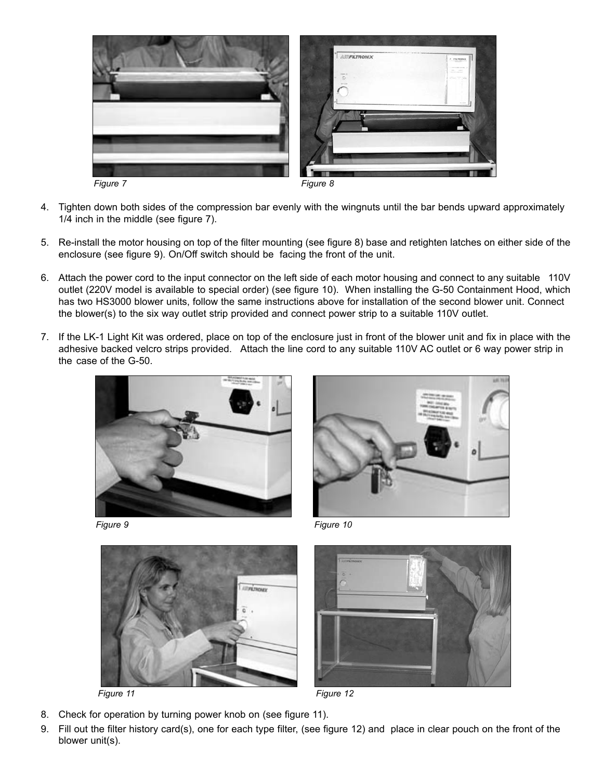

- 4. Tighten down both sides of the compression bar evenly with the wingnuts until the bar bends upward approximately 1/4 inch in the middle (see figure 7).
- 5. Re-install the motor housing on top of the filter mounting (see figure 8) base and retighten latches on either side of the enclosure (see figure 9). On/Off switch should be facing the front of the unit.
- 6. Attach the power cord to the input connector on the left side of each motor housing and connect to any suitable 110V outlet (220V model is available to special order) (see figure 10). When installing the G-50 Containment Hood, which has two HS3000 blower units, follow the same instructions above for installation of the second blower unit. Connect the blower(s) to the six way outlet strip provided and connect power strip to a suitable 110V outlet.
- 7. If the LK-1 Light Kit was ordered, place on top of the enclosure just in front of the blower unit and fix in place with the adhesive backed velcro strips provided. Attach the line cord to any suitable 110V AC outlet or 6 way power strip in the case of the G-50.





*Figure 9 Figure 10*





*Figure 11 Figure 12*

- 8. Check for operation by turning power knob on (see figure 11).
- 9. Fill out the filter history card(s), one for each type filter, (see figure 12) and place in clear pouch on the front of the blower unit(s).